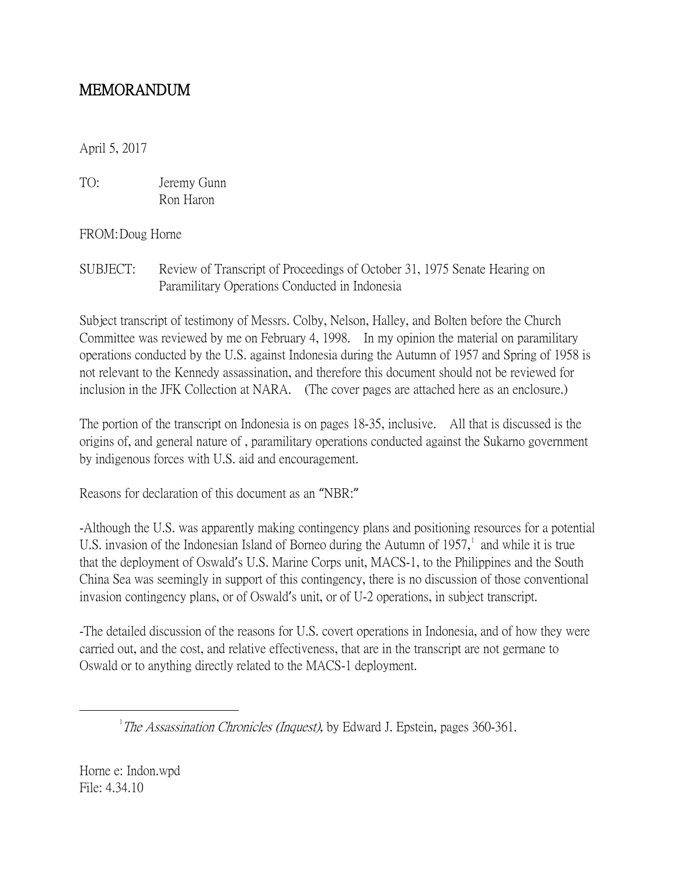## MEMORANDUM

April 5, 2017

TO: Jeremy Gunn Ron Haron

FROM:Doug Horne

SUBJECT: Review of Transcript of Proceedings of October 31, 1975 Senate Hearing on Paramilitary Operations Conducted in Indonesia

Subject transcript of testimony of Messrs. Colby, Nelson, Halley, and Bolten before the Church Committee was reviewed by me on February 4, 1998. In my opinion the material on paramilitary operations conducted by the U.S. against Indonesia during the Autumn of 1957 and Spring of 1958 is not relevant to the Kennedy assassination, and therefore this document should not be reviewed for inclusion in the JFK Collection at NARA. (The cover pages are attached here as an enclosure.)

The portion of the transcript on Indonesia is on pages 18-35, inclusive. All that is discussed is the origins of, and general nature of , paramilitary operations conducted against the Sukarno government by indigenous forces with U.S. aid and encouragement.

Reasons for declaration of this document as an "NBR:"

-Although the U.S. was apparently making contingency plans and positioning resources for a potential U.S. invasion of the Indonesian Island of Borneo during the Autumn of  $1957$  $1957$ , and while it is true that the deployment of Oswald's U.S. Marine Corps unit, MACS-1, to the Philippines and the South China Sea was seemingly in support of this contingency, there is no discussion of those conventional invasion contingency plans, or of Oswald's unit, or of U-2 operations, in subject transcript.

-The detailed discussion of the reasons for U.S. covert operations in Indonesia, and of how they were carried out, and the cost, and relative effectiveness, that are in the transcript are not germane to Oswald or to anything directly related to the MACS-1 deployment.

Horne e: Indon.wpd File: 4.34.10

<span id="page-0-0"></span> $\overline{\phantom{a}}$  $T$ The Assassination Chronicles (Inquest), by Edward J. Epstein, pages 360-361.